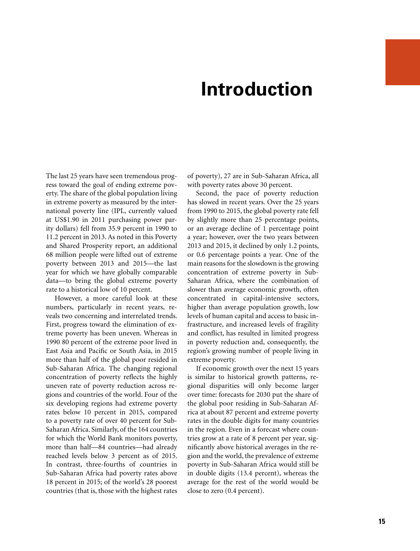## **Introduction**

The last 25 years have seen tremendous progress toward the goal of ending extreme poverty. The share of the global population living in extreme poverty as measured by the international poverty line (IPL, currently valued at US\$1.90 in 2011 purchasing power parity dollars) fell from 35.9 percent in 1990 to 11.2 percent in 2013. As noted in this Poverty and Shared Prosperity report, an additional 68 million people were lifted out of extreme poverty between 2013 and 2015—the last year for which we have globally comparable data—to bring the global extreme poverty rate to a historical low of 10 percent.

However, a more careful look at these numbers, particularly in recent years, reveals two concerning and interrelated trends. First, progress toward the elimination of extreme poverty has been uneven. Whereas in 1990 80 percent of the extreme poor lived in East Asia and Pacific or South Asia, in 2015 more than half of the global poor resided in Sub-Saharan Africa. The changing regional concentration of poverty reflects the highly uneven rate of poverty reduction across regions and countries of the world. Four of the six developing regions had extreme poverty rates below 10 percent in 2015, compared to a poverty rate of over 40 percent for Sub-Saharan Africa. Similarly, of the 164 countries for which the World Bank monitors poverty, more than half—84 countries—had already reached levels below 3 percent as of 2015. In contrast, three-fourths of countries in Sub-Saharan Africa had poverty rates above 18 percent in 2015; of the world's 28 poorest countries (that is, those with the highest rates of poverty), 27 are in Sub-Saharan Africa, all with poverty rates above 30 percent.

Second, the pace of poverty reduction has slowed in recent years. Over the 25 years from 1990 to 2015, the global poverty rate fell by slightly more than 25 percentage points, or an average decline of 1 percentage point a year; however, over the two years between 2013 and 2015, it declined by only 1.2 points, or 0.6 percentage points a year. One of the main reasons for the slowdown is the growing concentration of extreme poverty in Sub-Saharan Africa, where the combination of slower than average economic growth, often concentrated in capital-intensive sectors, higher than average population growth, low levels of human capital and access to basic infrastructure, and increased levels of fragility and conflict, has resulted in limited progress in poverty reduction and, consequently, the region's growing number of people living in extreme poverty.

If economic growth over the next 15 years is similar to historical growth patterns, regional disparities will only become larger over time: forecasts for 2030 put the share of the global poor residing in Sub-Saharan Africa at about 87 percent and extreme poverty rates in the double digits for many countries in the region. Even in a forecast where countries grow at a rate of 8 percent per year, significantly above historical averages in the region and the world, the prevalence of extreme poverty in Sub-Saharan Africa would still be in double digits (13.4 percent), whereas the average for the rest of the world would be close to zero (0.4 percent).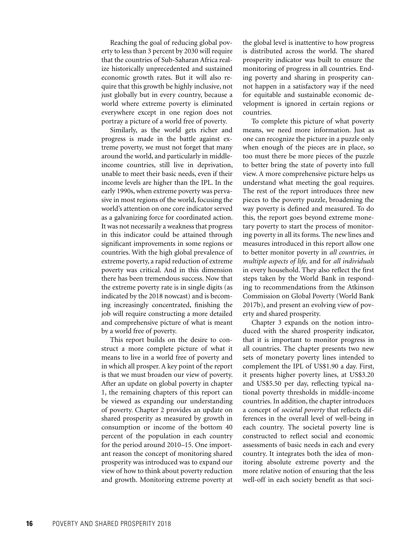Reaching the goal of reducing global poverty to less than 3 percent by 2030 will require that the countries of Sub-Saharan Africa realize historically unprecedented and sustained economic growth rates. But it will also require that this growth be highly inclusive, not just globally but in every country, because a world where extreme poverty is eliminated everywhere except in one region does not portray a picture of a world free of poverty.

Similarly, as the world gets richer and progress is made in the battle against extreme poverty, we must not forget that many around the world, and particularly in middleincome countries, still live in deprivation, unable to meet their basic needs, even if their income levels are higher than the IPL. In the early 1990s, when extreme poverty was pervasive in most regions of the world, focusing the world's attention on one core indicator served as a galvanizing force for coordinated action. It was not necessarily a weakness that progress in this indicator could be attained through significant improvements in some regions or countries. With the high global prevalence of extreme poverty, a rapid reduction of extreme poverty was critical. And in this dimension there has been tremendous success. Now that the extreme poverty rate is in single digits (as indicated by the 2018 nowcast) and is becoming increasingly concentrated, finishing the job will require constructing a more detailed and comprehensive picture of what is meant by a world free of poverty.

This report builds on the desire to construct a more complete picture of what it means to live in a world free of poverty and in which all prosper. A key point of the report is that we must broaden our view of poverty. After an update on global poverty in chapter 1, the remaining chapters of this report can be viewed as expanding our understanding of poverty. Chapter 2 provides an update on shared prosperity as measured by growth in consumption or income of the bottom 40 percent of the population in each country for the period around 2010–15. One important reason the concept of monitoring shared prosperity was introduced was to expand our view of how to think about poverty reduction and growth. Monitoring extreme poverty at

the global level is inattentive to how progress is distributed across the world. The shared prosperity indicator was built to ensure the monitoring of progress in all countries. Ending poverty and sharing in prosperity cannot happen in a satisfactory way if the need for equitable and sustainable economic development is ignored in certain regions or countries.

To complete this picture of what poverty means, we need more information. Just as one can recognize the picture in a puzzle only when enough of the pieces are in place, so too must there be more pieces of the puzzle to better bring the state of poverty into full view. A more comprehensive picture helps us understand what meeting the goal requires. The rest of the report introduces three new pieces to the poverty puzzle, broadening the way poverty is defined and measured. To do this, the report goes beyond extreme monetary poverty to start the process of monitoring poverty in all its forms. The new lines and measures introduced in this report allow one to better monitor poverty in *all countries, in multiple aspects of life,* and for *all individuals* in every household. They also reflect the first steps taken by the World Bank in responding to recommendations from the Atkinson Commission on Global Poverty (World Bank 2017b), and present an evolving view of poverty and shared prosperity.

Chapter 3 expands on the notion introduced with the shared prosperity indicator, that it is important to monitor progress in all countries. The chapter presents two new sets of monetary poverty lines intended to complement the IPL of US\$1.90 a day. First, it presents higher poverty lines, at US\$3.20 and US\$5.50 per day, reflecting typical national poverty thresholds in middle-income countries. In addition, the chapter introduces a concept of *societal poverty* that reflects differences in the overall level of well-being in each country. The societal poverty line is constructed to reflect social and economic assessments of basic needs in each and every country. It integrates both the idea of monitoring absolute extreme poverty and the more relative notion of ensuring that the less well-off in each society benefit as that soci